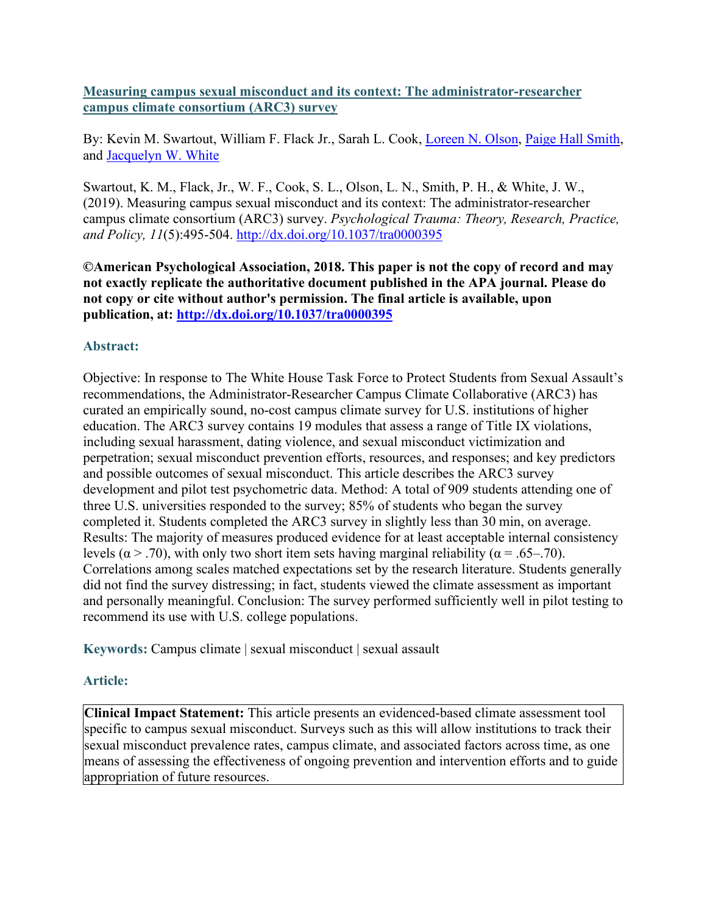**Measuring campus sexual misconduct and its context: The administrator-researcher campus climate consortium (ARC3) survey**

By: Kevin M. Swartout, William F. Flack Jr., Sarah L. Cook, [Loreen N. Olson,](http://libres.uncg.edu/ir/uncg/clist.aspx?id=4771) [Paige Hall Smith,](https://libres.uncg.edu/ir/uncg/clist.aspx?id=1606) and [Jacquelyn W. White](http://libres.uncg.edu/ir/uncg/clist.aspx?id=475)

Swartout, K. M., Flack, Jr., W. F., Cook, S. L., Olson, L. N., Smith, P. H., & White, J. W., (2019). Measuring campus sexual misconduct and its context: The administrator-researcher campus climate consortium (ARC3) survey. *Psychological Trauma: Theory, Research, Practice, and Policy, 11*(5):495-504. <http://dx.doi.org/10.1037/tra0000395>

**©American Psychological Association, 2018. This paper is not the copy of record and may not exactly replicate the authoritative document published in the APA journal. Please do not copy or cite without author's permission. The final article is available, upon publication, at: <http://dx.doi.org/10.1037/tra0000395>**

# **Abstract:**

Objective: In response to The White House Task Force to Protect Students from Sexual Assault's recommendations, the Administrator-Researcher Campus Climate Collaborative (ARC3) has curated an empirically sound, no-cost campus climate survey for U.S. institutions of higher education. The ARC3 survey contains 19 modules that assess a range of Title IX violations, including sexual harassment, dating violence, and sexual misconduct victimization and perpetration; sexual misconduct prevention efforts, resources, and responses; and key predictors and possible outcomes of sexual misconduct. This article describes the ARC3 survey development and pilot test psychometric data. Method: A total of 909 students attending one of three U.S. universities responded to the survey; 85% of students who began the survey completed it. Students completed the ARC3 survey in slightly less than 30 min, on average. Results: The majority of measures produced evidence for at least acceptable internal consistency levels ( $\alpha$  > .70), with only two short item sets having marginal reliability ( $\alpha$  = .65–.70). Correlations among scales matched expectations set by the research literature. Students generally did not find the survey distressing; in fact, students viewed the climate assessment as important and personally meaningful. Conclusion: The survey performed sufficiently well in pilot testing to recommend its use with U.S. college populations.

**Keywords:** Campus climate | sexual misconduct | sexual assault

# **Article:**

**Clinical Impact Statement:** This article presents an evidenced-based climate assessment tool specific to campus sexual misconduct. Surveys such as this will allow institutions to track their sexual misconduct prevalence rates, campus climate, and associated factors across time, as one means of assessing the effectiveness of ongoing prevention and intervention efforts and to guide appropriation of future resources.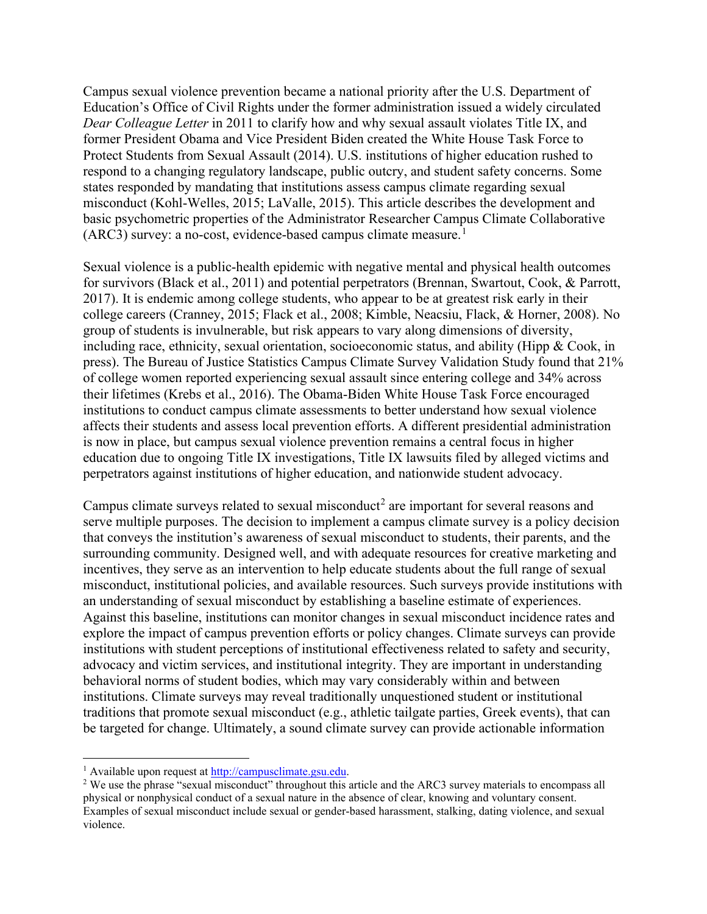Campus sexual violence prevention became a national priority after the U.S. Department of Education's Office of Civil Rights under the former administration issued a widely circulated *Dear Colleague Letter* in 2011 to clarify how and why sexual assault violates Title IX, and former President Obama and Vice President Biden created the White House Task Force to Protect Students from Sexual Assault (2014). U.S. institutions of higher education rushed to respond to a changing regulatory landscape, public outcry, and student safety concerns. Some states responded by mandating that institutions assess campus climate regarding sexual misconduct (Kohl-Welles, 2015; LaValle, 2015). This article describes the development and basic psychometric properties of the Administrator Researcher Campus Climate Collaborative  $(ARC3)$  survey: a no-cost, evidence-based campus climate measure.<sup>[1](#page-1-0)</sup>

Sexual violence is a public-health epidemic with negative mental and physical health outcomes for survivors (Black et al., 2011) and potential perpetrators (Brennan, Swartout, Cook, & Parrott, 2017). It is endemic among college students, who appear to be at greatest risk early in their college careers (Cranney, 2015; Flack et al., 2008; Kimble, Neacsiu, Flack, & Horner, 2008). No group of students is invulnerable, but risk appears to vary along dimensions of diversity, including race, ethnicity, sexual orientation, socioeconomic status, and ability (Hipp & Cook, in press). The Bureau of Justice Statistics Campus Climate Survey Validation Study found that 21% of college women reported experiencing sexual assault since entering college and 34% across their lifetimes (Krebs et al., 2016). The Obama-Biden White House Task Force encouraged institutions to conduct campus climate assessments to better understand how sexual violence affects their students and assess local prevention efforts. A different presidential administration is now in place, but campus sexual violence prevention remains a central focus in higher education due to ongoing Title IX investigations, Title IX lawsuits filed by alleged victims and perpetrators against institutions of higher education, and nationwide student advocacy.

Campus climate surveys related to sexual misconduct<sup>[2](#page-1-1)</sup> are important for several reasons and serve multiple purposes. The decision to implement a campus climate survey is a policy decision that conveys the institution's awareness of sexual misconduct to students, their parents, and the surrounding community. Designed well, and with adequate resources for creative marketing and incentives, they serve as an intervention to help educate students about the full range of sexual misconduct, institutional policies, and available resources. Such surveys provide institutions with an understanding of sexual misconduct by establishing a baseline estimate of experiences. Against this baseline, institutions can monitor changes in sexual misconduct incidence rates and explore the impact of campus prevention efforts or policy changes. Climate surveys can provide institutions with student perceptions of institutional effectiveness related to safety and security, advocacy and victim services, and institutional integrity. They are important in understanding behavioral norms of student bodies, which may vary considerably within and between institutions. Climate surveys may reveal traditionally unquestioned student or institutional traditions that promote sexual misconduct (e.g., athletic tailgate parties, Greek events), that can be targeted for change. Ultimately, a sound climate survey can provide actionable information

<span id="page-1-0"></span><sup>&</sup>lt;sup>1</sup> Available upon request a[t http://campusclimate.gsu.edu.](http://campusclimate.gsu.edu/)

<span id="page-1-1"></span><sup>&</sup>lt;sup>2</sup> We use the phrase "sexual misconduct" throughout this article and the ARC3 survey materials to encompass all physical or nonphysical conduct of a sexual nature in the absence of clear, knowing and voluntary consent. Examples of sexual misconduct include sexual or gender-based harassment, stalking, dating violence, and sexual violence.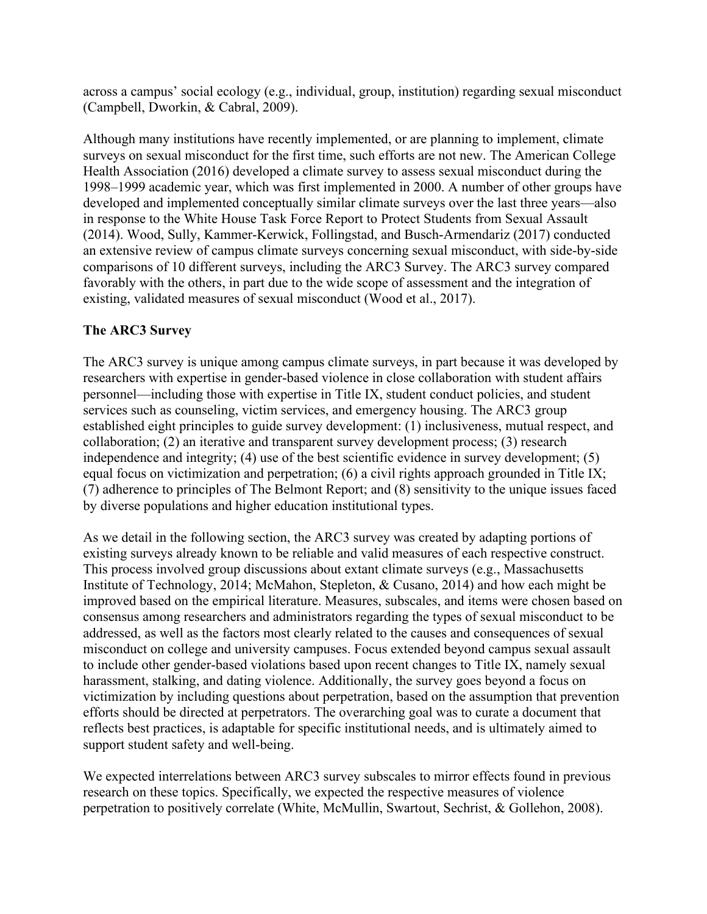across a campus' social ecology (e.g., individual, group, institution) regarding sexual misconduct (Campbell, Dworkin, & Cabral, 2009).

Although many institutions have recently implemented, or are planning to implement, climate surveys on sexual misconduct for the first time, such efforts are not new. The American College Health Association (2016) developed a climate survey to assess sexual misconduct during the 1998–1999 academic year, which was first implemented in 2000. A number of other groups have developed and implemented conceptually similar climate surveys over the last three years—also in response to the White House Task Force Report to Protect Students from Sexual Assault (2014). Wood, Sully, Kammer-Kerwick, Follingstad, and Busch-Armendariz (2017) conducted an extensive review of campus climate surveys concerning sexual misconduct, with side-by-side comparisons of 10 different surveys, including the ARC3 Survey. The ARC3 survey compared favorably with the others, in part due to the wide scope of assessment and the integration of existing, validated measures of sexual misconduct (Wood et al., 2017).

# **The ARC3 Survey**

The ARC3 survey is unique among campus climate surveys, in part because it was developed by researchers with expertise in gender-based violence in close collaboration with student affairs personnel—including those with expertise in Title IX, student conduct policies, and student services such as counseling, victim services, and emergency housing. The ARC3 group established eight principles to guide survey development: (1) inclusiveness, mutual respect, and collaboration; (2) an iterative and transparent survey development process; (3) research independence and integrity; (4) use of the best scientific evidence in survey development; (5) equal focus on victimization and perpetration; (6) a civil rights approach grounded in Title IX; (7) adherence to principles of The Belmont Report; and (8) sensitivity to the unique issues faced by diverse populations and higher education institutional types.

As we detail in the following section, the ARC3 survey was created by adapting portions of existing surveys already known to be reliable and valid measures of each respective construct. This process involved group discussions about extant climate surveys (e.g., Massachusetts Institute of Technology, 2014; McMahon, Stepleton, & Cusano, 2014) and how each might be improved based on the empirical literature. Measures, subscales, and items were chosen based on consensus among researchers and administrators regarding the types of sexual misconduct to be addressed, as well as the factors most clearly related to the causes and consequences of sexual misconduct on college and university campuses. Focus extended beyond campus sexual assault to include other gender-based violations based upon recent changes to Title IX, namely sexual harassment, stalking, and dating violence. Additionally, the survey goes beyond a focus on victimization by including questions about perpetration, based on the assumption that prevention efforts should be directed at perpetrators. The overarching goal was to curate a document that reflects best practices, is adaptable for specific institutional needs, and is ultimately aimed to support student safety and well-being.

We expected interrelations between ARC3 survey subscales to mirror effects found in previous research on these topics. Specifically, we expected the respective measures of violence perpetration to positively correlate (White, McMullin, Swartout, Sechrist, & Gollehon, 2008).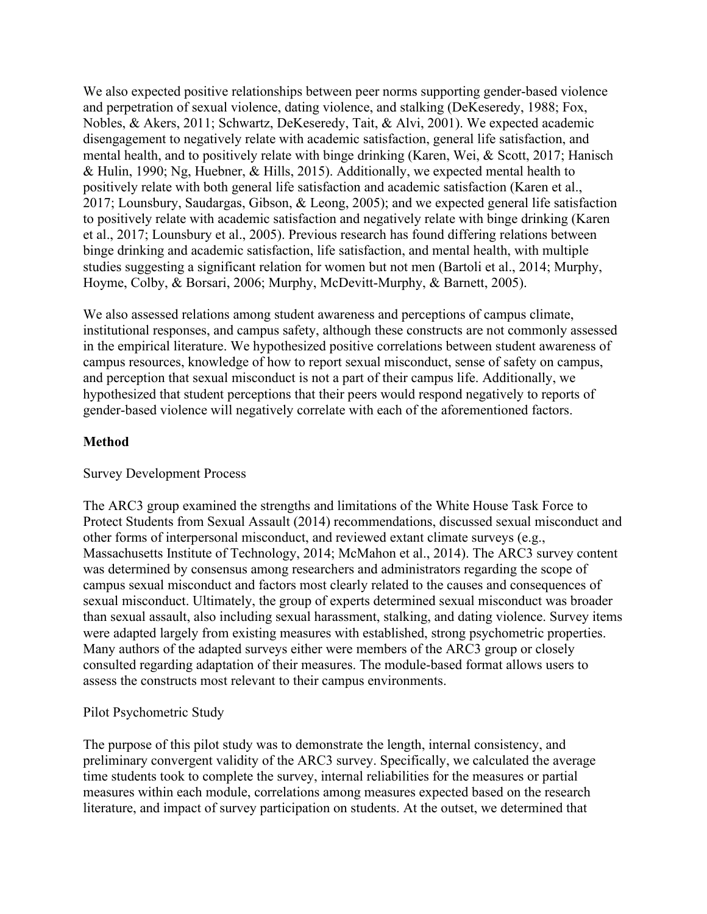We also expected positive relationships between peer norms supporting gender-based violence and perpetration of sexual violence, dating violence, and stalking (DeKeseredy, 1988; Fox, Nobles, & Akers, 2011; Schwartz, DeKeseredy, Tait, & Alvi, 2001). We expected academic disengagement to negatively relate with academic satisfaction, general life satisfaction, and mental health, and to positively relate with binge drinking (Karen, Wei, & Scott, 2017; Hanisch & Hulin, 1990; Ng, Huebner, & Hills, 2015). Additionally, we expected mental health to positively relate with both general life satisfaction and academic satisfaction (Karen et al., 2017; Lounsbury, Saudargas, Gibson, & Leong, 2005); and we expected general life satisfaction to positively relate with academic satisfaction and negatively relate with binge drinking (Karen et al., 2017; Lounsbury et al., 2005). Previous research has found differing relations between binge drinking and academic satisfaction, life satisfaction, and mental health, with multiple studies suggesting a significant relation for women but not men (Bartoli et al., 2014; Murphy, Hoyme, Colby, & Borsari, 2006; Murphy, McDevitt-Murphy, & Barnett, 2005).

We also assessed relations among student awareness and perceptions of campus climate, institutional responses, and campus safety, although these constructs are not commonly assessed in the empirical literature. We hypothesized positive correlations between student awareness of campus resources, knowledge of how to report sexual misconduct, sense of safety on campus, and perception that sexual misconduct is not a part of their campus life. Additionally, we hypothesized that student perceptions that their peers would respond negatively to reports of gender-based violence will negatively correlate with each of the aforementioned factors.

# **Method**

### Survey Development Process

The ARC3 group examined the strengths and limitations of the White House Task Force to Protect Students from Sexual Assault (2014) recommendations, discussed sexual misconduct and other forms of interpersonal misconduct, and reviewed extant climate surveys (e.g., Massachusetts Institute of Technology, 2014; McMahon et al., 2014). The ARC3 survey content was determined by consensus among researchers and administrators regarding the scope of campus sexual misconduct and factors most clearly related to the causes and consequences of sexual misconduct. Ultimately, the group of experts determined sexual misconduct was broader than sexual assault, also including sexual harassment, stalking, and dating violence. Survey items were adapted largely from existing measures with established, strong psychometric properties. Many authors of the adapted surveys either were members of the ARC3 group or closely consulted regarding adaptation of their measures. The module-based format allows users to assess the constructs most relevant to their campus environments.

### Pilot Psychometric Study

The purpose of this pilot study was to demonstrate the length, internal consistency, and preliminary convergent validity of the ARC3 survey. Specifically, we calculated the average time students took to complete the survey, internal reliabilities for the measures or partial measures within each module, correlations among measures expected based on the research literature, and impact of survey participation on students. At the outset, we determined that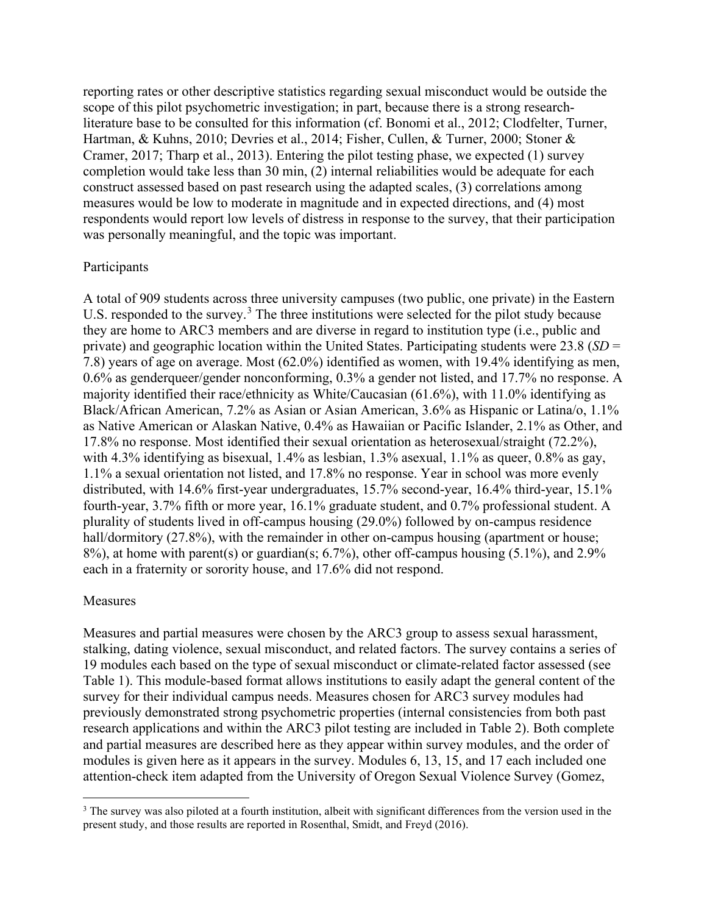reporting rates or other descriptive statistics regarding sexual misconduct would be outside the scope of this pilot psychometric investigation; in part, because there is a strong researchliterature base to be consulted for this information (cf. Bonomi et al., 2012; Clodfelter, Turner, Hartman, & Kuhns, 2010; Devries et al., 2014; Fisher, Cullen, & Turner, 2000; Stoner & Cramer, 2017; Tharp et al., 2013). Entering the pilot testing phase, we expected (1) survey completion would take less than 30 min, (2) internal reliabilities would be adequate for each construct assessed based on past research using the adapted scales, (3) correlations among measures would be low to moderate in magnitude and in expected directions, and (4) most respondents would report low levels of distress in response to the survey, that their participation was personally meaningful, and the topic was important.

### Participants

A total of 909 students across three university campuses (two public, one private) in the Eastern U.S. responded to the survey.<sup>[3](#page-4-0)</sup> The three institutions were selected for the pilot study because they are home to ARC3 members and are diverse in regard to institution type (i.e., public and private) and geographic location within the United States. Participating students were 23.8 (*SD* = 7.8) years of age on average. Most (62.0%) identified as women, with 19.4% identifying as men, 0.6% as genderqueer/gender nonconforming, 0.3% a gender not listed, and 17.7% no response. A majority identified their race/ethnicity as White/Caucasian (61.6%), with 11.0% identifying as Black/African American, 7.2% as Asian or Asian American, 3.6% as Hispanic or Latina/o, 1.1% as Native American or Alaskan Native, 0.4% as Hawaiian or Pacific Islander, 2.1% as Other, and 17.8% no response. Most identified their sexual orientation as heterosexual/straight (72.2%), with 4.3% identifying as bisexual, 1.4% as lesbian, 1.3% asexual, 1.1% as queer, 0.8% as gay, 1.1% a sexual orientation not listed, and 17.8% no response. Year in school was more evenly distributed, with 14.6% first-year undergraduates, 15.7% second-year, 16.4% third-year, 15.1% fourth-year, 3.7% fifth or more year, 16.1% graduate student, and 0.7% professional student. A plurality of students lived in off-campus housing (29.0%) followed by on-campus residence hall/dormitory (27.8%), with the remainder in other on-campus housing (apartment or house; 8%), at home with parent(s) or guardian(s; 6.7%), other off-campus housing (5.1%), and 2.9% each in a fraternity or sorority house, and 17.6% did not respond.

#### Measures

Measures and partial measures were chosen by the ARC3 group to assess sexual harassment, stalking, dating violence, sexual misconduct, and related factors. The survey contains a series of 19 modules each based on the type of sexual misconduct or climate-related factor assessed (see Table 1). This module-based format allows institutions to easily adapt the general content of the survey for their individual campus needs. Measures chosen for ARC3 survey modules had previously demonstrated strong psychometric properties (internal consistencies from both past research applications and within the ARC3 pilot testing are included in Table 2). Both complete and partial measures are described here as they appear within survey modules, and the order of modules is given here as it appears in the survey. Modules 6, 13, 15, and 17 each included one attention-check item adapted from the University of Oregon Sexual Violence Survey (Gomez,

<span id="page-4-0"></span><sup>&</sup>lt;sup>3</sup> The survey was also piloted at a fourth institution, albeit with significant differences from the version used in the present study, and those results are reported in Rosenthal, Smidt, and Freyd (2016).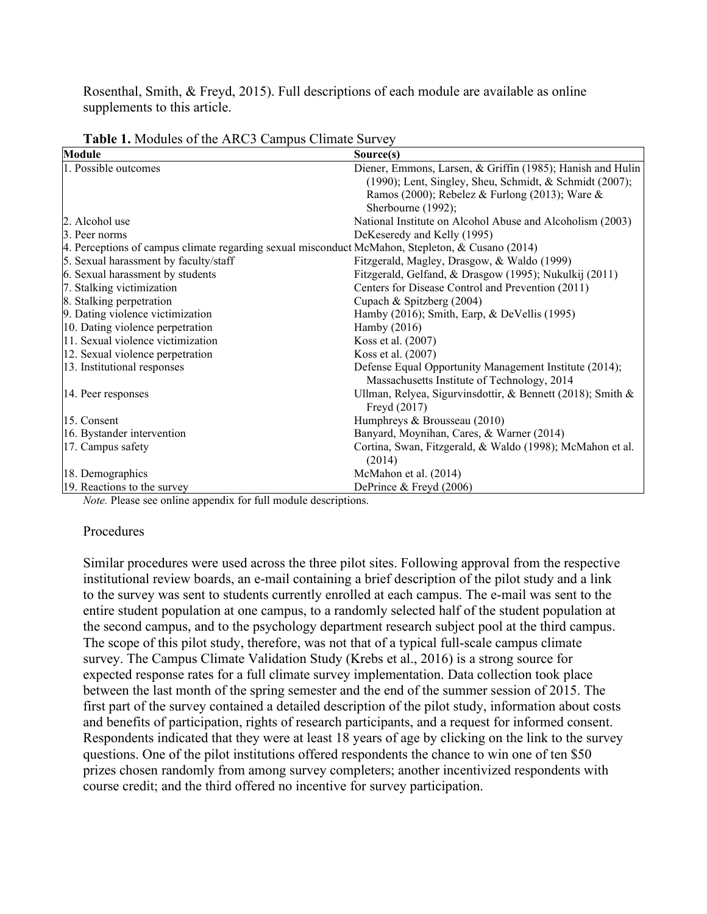Rosenthal, Smith, & Freyd, 2015). Full descriptions of each module are available as online supplements to this article.

| Module                                                                                           | Source(s)                                                                  |
|--------------------------------------------------------------------------------------------------|----------------------------------------------------------------------------|
| 1. Possible outcomes                                                                             | Diener, Emmons, Larsen, & Griffin (1985); Hanish and Hulin                 |
|                                                                                                  | (1990); Lent, Singley, Sheu, Schmidt, & Schmidt (2007);                    |
|                                                                                                  | Ramos (2000); Rebelez & Furlong (2013); Ware &                             |
|                                                                                                  | Sherbourne (1992);                                                         |
| 2. Alcohol use                                                                                   | National Institute on Alcohol Abuse and Alcoholism (2003)                  |
| 3. Peer norms                                                                                    | DeKeseredy and Kelly (1995)                                                |
| 4. Perceptions of campus climate regarding sexual misconduct McMahon, Stepleton, & Cusano (2014) |                                                                            |
| 5. Sexual harassment by faculty/staff                                                            | Fitzgerald, Magley, Drasgow, & Waldo (1999)                                |
| 6. Sexual harassment by students                                                                 | Fitzgerald, Gelfand, & Drasgow (1995); Nukulkij (2011)                     |
| 7. Stalking victimization                                                                        | Centers for Disease Control and Prevention (2011)                          |
| 8. Stalking perpetration                                                                         | Cupach & Spitzberg (2004)                                                  |
| 9. Dating violence victimization                                                                 | Hamby (2016); Smith, Earp, & DeVellis (1995)                               |
| 10. Dating violence perpetration                                                                 | Hamby $(2016)$                                                             |
| 11. Sexual violence victimization                                                                | Koss et al. (2007)                                                         |
| 12. Sexual violence perpetration                                                                 | Koss et al. (2007)                                                         |
| 13. Institutional responses                                                                      | Defense Equal Opportunity Management Institute (2014);                     |
|                                                                                                  | Massachusetts Institute of Technology, 2014                                |
| 14. Peer responses                                                                               | Ullman, Relyea, Sigurvinsdottir, & Bennett (2018); Smith &<br>Freyd (2017) |
| 15. Consent                                                                                      | Humphreys & Brousseau (2010)                                               |
| 16. Bystander intervention                                                                       | Banyard, Moynihan, Cares, & Warner (2014)                                  |
| 17. Campus safety                                                                                | Cortina, Swan, Fitzgerald, & Waldo (1998); McMahon et al.                  |
|                                                                                                  | (2014)                                                                     |
| 18. Demographics                                                                                 | McMahon et al. (2014)                                                      |
| 19. Reactions to the survey                                                                      | DePrince & Freyd (2006)                                                    |

**Table 1.** Modules of the ARC3 Campus Climate Survey

*Note.* Please see online appendix for full module descriptions.

#### Procedures

Similar procedures were used across the three pilot sites. Following approval from the respective institutional review boards, an e-mail containing a brief description of the pilot study and a link to the survey was sent to students currently enrolled at each campus. The e-mail was sent to the entire student population at one campus, to a randomly selected half of the student population at the second campus, and to the psychology department research subject pool at the third campus. The scope of this pilot study, therefore, was not that of a typical full-scale campus climate survey. The Campus Climate Validation Study (Krebs et al., 2016) is a strong source for expected response rates for a full climate survey implementation. Data collection took place between the last month of the spring semester and the end of the summer session of 2015. The first part of the survey contained a detailed description of the pilot study, information about costs and benefits of participation, rights of research participants, and a request for informed consent. Respondents indicated that they were at least 18 years of age by clicking on the link to the survey questions. One of the pilot institutions offered respondents the chance to win one of ten \$50 prizes chosen randomly from among survey completers; another incentivized respondents with course credit; and the third offered no incentive for survey participation.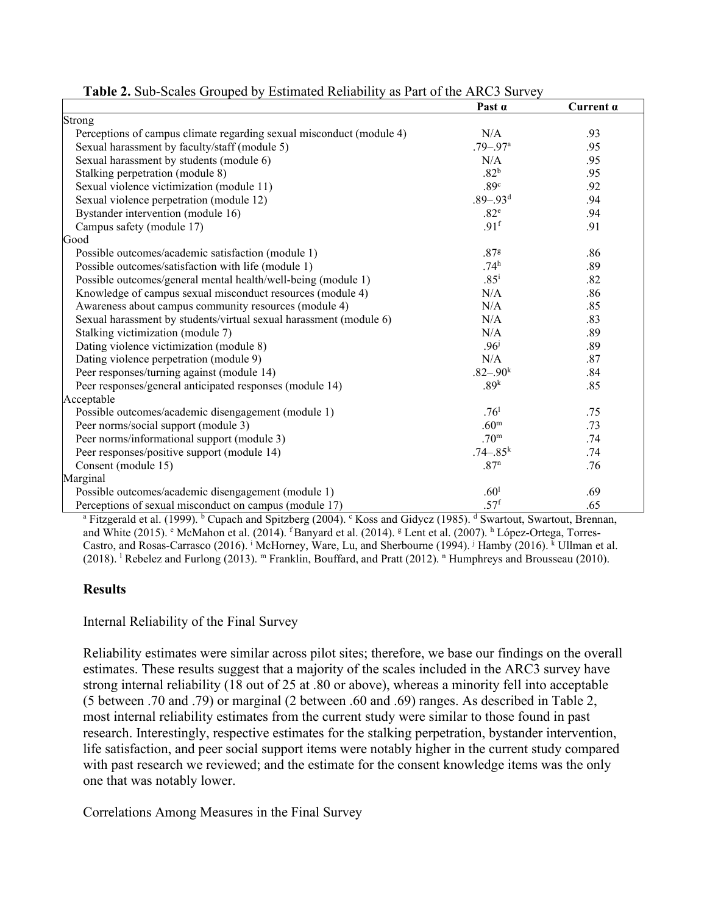|                                                                      | Past $\alpha$            | Current $\alpha$ |
|----------------------------------------------------------------------|--------------------------|------------------|
| Strong                                                               |                          |                  |
| Perceptions of campus climate regarding sexual misconduct (module 4) | N/A                      | .93              |
| Sexual harassment by faculty/staff (module 5)                        | $.79 - .97$ <sup>a</sup> | .95              |
| Sexual harassment by students (module 6)                             | N/A                      | .95              |
| Stalking perpetration (module 8)                                     | .82 <sup>b</sup>         | .95              |
| Sexual violence victimization (module 11)                            | .89 <sup>c</sup>         | .92              |
| Sexual violence perpetration (module 12)                             | $.89 - .93d$             | .94              |
| Bystander intervention (module 16)                                   | .82 <sup>e</sup>         | .94              |
| Campus safety (module 17)                                            | .91 <sup>f</sup>         | .91              |
| Good                                                                 |                          |                  |
| Possible outcomes/academic satisfaction (module 1)                   | .87 <sup>g</sup>         | .86              |
| Possible outcomes/satisfaction with life (module 1)                  | .74 <sup>h</sup>         | .89              |
| Possible outcomes/general mental health/well-being (module 1)        | $.85^{\rm i}$            | .82              |
| Knowledge of campus sexual misconduct resources (module 4)           | N/A                      | .86              |
| Awareness about campus community resources (module 4)                | N/A                      | .85              |
| Sexual harassment by students/virtual sexual harassment (module 6)   | N/A                      | .83              |
| Stalking victimization (module 7)                                    | N/A                      | .89              |
| Dating violence victimization (module 8)                             | .96 <sup>j</sup>         | .89              |
| Dating violence perpetration (module 9)                              | N/A                      | .87              |
| Peer responses/turning against (module 14)                           | $.82 - .90k$             | .84              |
| Peer responses/general anticipated responses (module 14)             | .89 <sup>k</sup>         | .85              |
| Acceptable                                                           |                          |                  |
| Possible outcomes/academic disengagement (module 1)                  | .76 <sup>1</sup>         | .75              |
| Peer norms/social support (module 3)                                 | .60 <sup>m</sup>         | .73              |
| Peer norms/informational support (module 3)                          | .70 <sup>m</sup>         | .74              |
| Peer responses/positive support (module 14)                          | $.74 - .85$ <sup>k</sup> | .74              |
| Consent (module 15)                                                  | .87 <sup>n</sup>         | .76              |
| Marginal                                                             |                          |                  |
| Possible outcomes/academic disengagement (module 1)                  | .60 <sup>1</sup>         | .69              |
| Perceptions of sexual misconduct on campus (module 17)               | .57 <sup>f</sup>         | .65              |

**Table 2.** Sub-Scales Grouped by Estimated Reliability as Part of the ARC3 Survey

<sup>a</sup> Fitzgerald et al. (1999). <sup>b</sup> Cupach and Spitzberg (2004). <sup>c</sup> Koss and Gidycz (1985). <sup>d</sup> Swartout, Swartout, Brennan, and White (2015). <sup>e</sup> McMahon et al. (2014). <sup>f</sup> Banyard et al. (2014). <sup>g</sup> Lent et al. (2007). <sup>h</sup> López-Ortega, Torres-Castro, and Rosas-Carrasco (2016). <sup>i</sup> McHorney, Ware, Lu, and Sherbourne (1994). <sup>j</sup> Hamby (2016). <sup>k</sup> Ullman et al. (2018). <sup>1</sup> Rebelez and Furlong (2013). <sup>m</sup> Franklin, Bouffard, and Pratt (2012). <sup>n</sup> Humphreys and Brousseau (2010).

### **Results**

### Internal Reliability of the Final Survey

Reliability estimates were similar across pilot sites; therefore, we base our findings on the overall estimates. These results suggest that a majority of the scales included in the ARC3 survey have strong internal reliability (18 out of 25 at .80 or above), whereas a minority fell into acceptable (5 between .70 and .79) or marginal (2 between .60 and .69) ranges. As described in Table 2, most internal reliability estimates from the current study were similar to those found in past research. Interestingly, respective estimates for the stalking perpetration, bystander intervention, life satisfaction, and peer social support items were notably higher in the current study compared with past research we reviewed; and the estimate for the consent knowledge items was the only one that was notably lower.

Correlations Among Measures in the Final Survey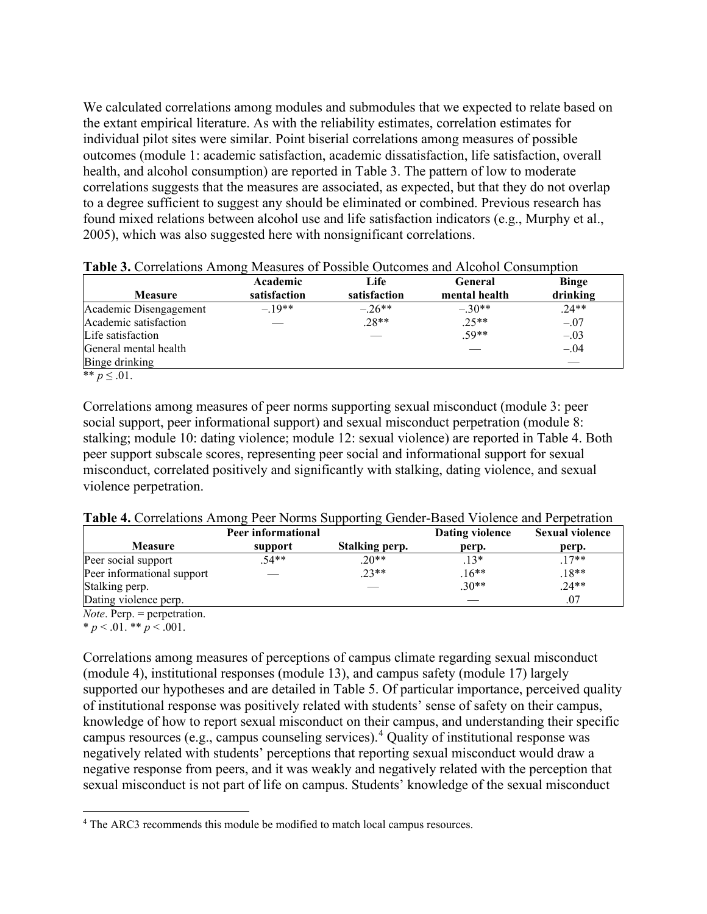We calculated correlations among modules and submodules that we expected to relate based on the extant empirical literature. As with the reliability estimates, correlation estimates for individual pilot sites were similar. Point biserial correlations among measures of possible outcomes (module 1: academic satisfaction, academic dissatisfaction, life satisfaction, overall health, and alcohol consumption) are reported in Table 3. The pattern of low to moderate correlations suggests that the measures are associated, as expected, but that they do not overlap to a degree sufficient to suggest any should be eliminated or combined. Previous research has found mixed relations between alcohol use and life satisfaction indicators (e.g., Murphy et al., 2005), which was also suggested here with nonsignificant correlations.

| <b>Measure</b>         | Academic<br>satisfaction | Life<br>satisfaction | <b>General</b><br>mental health | <b>Binge</b><br>drinking |
|------------------------|--------------------------|----------------------|---------------------------------|--------------------------|
| Academic Disengagement | $-19**$                  | $-.26**$             | $-.30**$                        | $.24**$                  |
| Academic satisfaction  |                          | $.28**$              | $.25**$                         | $-.07$                   |
| Life satisfaction      |                          |                      | $.59**$                         | $-.03$                   |
| General mental health  |                          |                      |                                 | $-.04$                   |
| Binge drinking         |                          |                      |                                 | $\sim$                   |
| ** $p \leq .01$ .      |                          |                      |                                 |                          |

|  | <b>Table 3.</b> Correlations Among Measures of Possible Outcomes and Alcohol Consumption |  |  |
|--|------------------------------------------------------------------------------------------|--|--|
|  |                                                                                          |  |  |

Correlations among measures of peer norms supporting sexual misconduct (module 3: peer social support, peer informational support) and sexual misconduct perpetration (module 8: stalking; module 10: dating violence; module 12: sexual violence) are reported in Table 4. Both peer support subscale scores, representing peer social and informational support for sexual misconduct, correlated positively and significantly with stalking, dating violence, and sexual violence perpetration.

| Table 4. Correlations Among Peer Norms Supporting Gender-Based Violence and Perpetration |  |  |  |
|------------------------------------------------------------------------------------------|--|--|--|
|------------------------------------------------------------------------------------------|--|--|--|

|                            | Peer informational |                | Dating violence | <b>Sexual violence</b> |
|----------------------------|--------------------|----------------|-----------------|------------------------|
| <b>Measure</b>             | support            | Stalking perp. | perp.           | perp.                  |
| Peer social support        | $.54**$            | $.20**$        | $13*$           | $17**$                 |
| Peer informational support |                    | $.23**$        | $.16**$         | $18**$                 |
| Stalking perp.             |                    |                | $.30**$         | $.24**$                |
| Dating violence perp.      |                    |                |                 | .07                    |

*Note*. Perp. = perpetration.

 $* p < .01.*p < .001.$ 

Correlations among measures of perceptions of campus climate regarding sexual misconduct (module 4), institutional responses (module 13), and campus safety (module 17) largely supported our hypotheses and are detailed in Table 5. Of particular importance, perceived quality of institutional response was positively related with students' sense of safety on their campus, knowledge of how to report sexual misconduct on their campus, and understanding their specific campus resources (e.g., campus counseling services).<sup>[4](#page-7-0)</sup> Quality of institutional response was negatively related with students' perceptions that reporting sexual misconduct would draw a negative response from peers, and it was weakly and negatively related with the perception that sexual misconduct is not part of life on campus. Students' knowledge of the sexual misconduct

<span id="page-7-0"></span><sup>4</sup> The ARC3 recommends this module be modified to match local campus resources.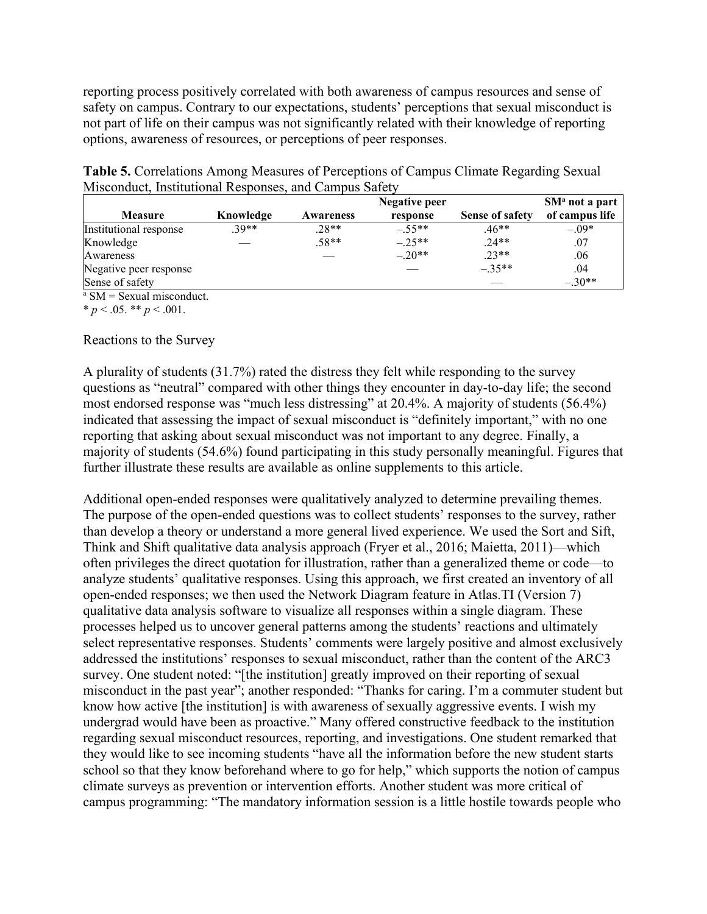reporting process positively correlated with both awareness of campus resources and sense of safety on campus. Contrary to our expectations, students' perceptions that sexual misconduct is not part of life on their campus was not significantly related with their knowledge of reporting options, awareness of resources, or perceptions of peer responses.

| Misconduct, Institutional Responses, and Campus Safety |           |                  |               |                        |                  |
|--------------------------------------------------------|-----------|------------------|---------------|------------------------|------------------|
|                                                        |           |                  | Negative peer |                        | $SMa$ not a part |
| <b>Measure</b>                                         | Knowledge | <b>Awareness</b> | response      | <b>Sense of safety</b> | of campus life   |
|                                                        |           |                  |               |                        |                  |

**Table 5.** Correlations Among Measures of Perceptions of Campus Climate Regarding Sexual

|                        |           | Negative peer    |          |                        |                |
|------------------------|-----------|------------------|----------|------------------------|----------------|
| <b>Measure</b>         | Knowledge | <b>Awareness</b> | response | <b>Sense of safety</b> | of campus life |
| Institutional response | $30**$    | $.28**$          | $-.55**$ | $.46**$                | $-.09*$        |
| Knowledge              |           | $.58**$          | $-.25**$ | $.24**$                | .07            |
| Awareness              |           |                  | $-.20**$ | $.23**$                | .06            |
| Negative peer response |           |                  |          | $-35**$                | .04            |
| Sense of safety        |           |                  |          |                        | $-.30**$       |

 $a$  SM = Sexual misconduct.

 $* p < .05.$  \*\*  $p < .001.$ 

### Reactions to the Survey

A plurality of students  $(31.7%)$  rated the distress they felt while responding to the survey questions as "neutral" compared with other things they encounter in day-to-day life; the second most endorsed response was "much less distressing" at 20.4%. A majority of students (56.4%) indicated that assessing the impact of sexual misconduct is "definitely important," with no one reporting that asking about sexual misconduct was not important to any degree. Finally, a majority of students (54.6%) found participating in this study personally meaningful. Figures that further illustrate these results are available as online supplements to this article.

Additional open-ended responses were qualitatively analyzed to determine prevailing themes. The purpose of the open-ended questions was to collect students' responses to the survey, rather than develop a theory or understand a more general lived experience. We used the Sort and Sift, Think and Shift qualitative data analysis approach (Fryer et al., 2016; Maietta, 2011)—which often privileges the direct quotation for illustration, rather than a generalized theme or code—to analyze students' qualitative responses. Using this approach, we first created an inventory of all open-ended responses; we then used the Network Diagram feature in Atlas.TI (Version 7) qualitative data analysis software to visualize all responses within a single diagram. These processes helped us to uncover general patterns among the students' reactions and ultimately select representative responses. Students' comments were largely positive and almost exclusively addressed the institutions' responses to sexual misconduct, rather than the content of the ARC3 survey. One student noted: "[the institution] greatly improved on their reporting of sexual misconduct in the past year"; another responded: "Thanks for caring. I'm a commuter student but know how active [the institution] is with awareness of sexually aggressive events. I wish my undergrad would have been as proactive." Many offered constructive feedback to the institution regarding sexual misconduct resources, reporting, and investigations. One student remarked that they would like to see incoming students "have all the information before the new student starts school so that they know beforehand where to go for help," which supports the notion of campus climate surveys as prevention or intervention efforts. Another student was more critical of campus programming: "The mandatory information session is a little hostile towards people who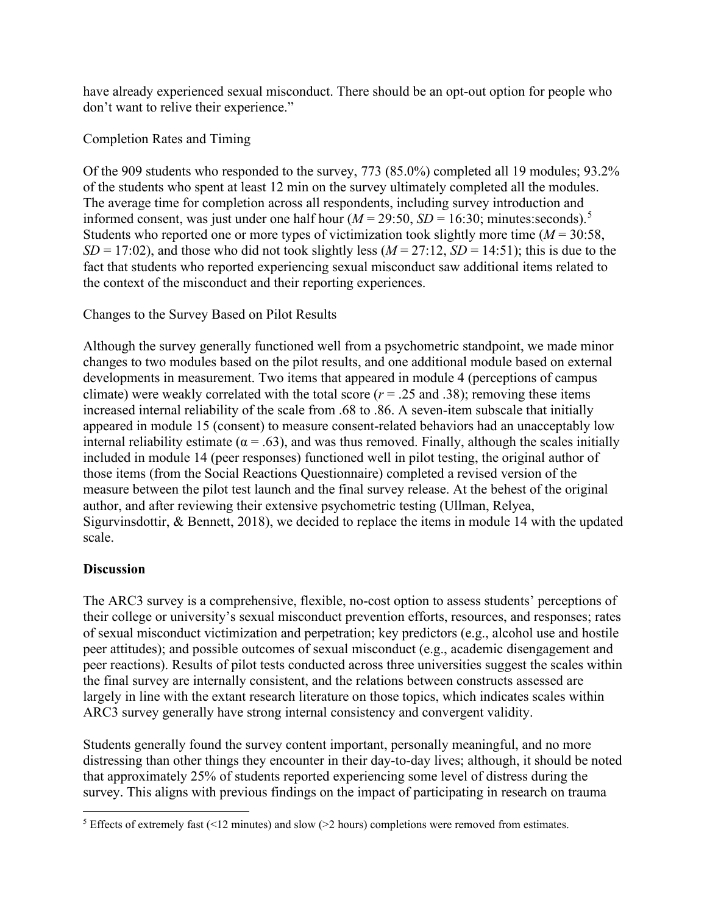have already experienced sexual misconduct. There should be an opt-out option for people who don't want to relive their experience."

Completion Rates and Timing

Of the 909 students who responded to the survey, 773 (85.0%) completed all 19 modules; 93.2% of the students who spent at least 12 min on the survey ultimately completed all the modules. The average time for completion across all respondents, including survey introduction and informed consent, was just under one half hour ( $M = 29:50$  $M = 29:50$  $M = 29:50$ ,  $SD = 16:30$ ; minutes:seconds).<sup>5</sup> Students who reported one or more types of victimization took slightly more time (*M* = 30:58,  $SD = 17:02$ ), and those who did not took slightly less ( $M = 27:12$ ,  $SD = 14:51$ ); this is due to the fact that students who reported experiencing sexual misconduct saw additional items related to the context of the misconduct and their reporting experiences.

Changes to the Survey Based on Pilot Results

Although the survey generally functioned well from a psychometric standpoint, we made minor changes to two modules based on the pilot results, and one additional module based on external developments in measurement. Two items that appeared in module 4 (perceptions of campus climate) were weakly correlated with the total score  $(r = .25$  and .38); removing these items increased internal reliability of the scale from .68 to .86. A seven-item subscale that initially appeared in module 15 (consent) to measure consent-related behaviors had an unacceptably low internal reliability estimate ( $\alpha = .63$ ), and was thus removed. Finally, although the scales initially included in module 14 (peer responses) functioned well in pilot testing, the original author of those items (from the Social Reactions Questionnaire) completed a revised version of the measure between the pilot test launch and the final survey release. At the behest of the original author, and after reviewing their extensive psychometric testing (Ullman, Relyea, Sigurvinsdottir, & Bennett, 2018), we decided to replace the items in module 14 with the updated scale.

# **Discussion**

The ARC3 survey is a comprehensive, flexible, no-cost option to assess students' perceptions of their college or university's sexual misconduct prevention efforts, resources, and responses; rates of sexual misconduct victimization and perpetration; key predictors (e.g., alcohol use and hostile peer attitudes); and possible outcomes of sexual misconduct (e.g., academic disengagement and peer reactions). Results of pilot tests conducted across three universities suggest the scales within the final survey are internally consistent, and the relations between constructs assessed are largely in line with the extant research literature on those topics, which indicates scales within ARC3 survey generally have strong internal consistency and convergent validity.

Students generally found the survey content important, personally meaningful, and no more distressing than other things they encounter in their day-to-day lives; although, it should be noted that approximately 25% of students reported experiencing some level of distress during the survey. This aligns with previous findings on the impact of participating in research on trauma

<span id="page-9-0"></span><sup>5</sup> Effects of extremely fast (<12 minutes) and slow (>2 hours) completions were removed from estimates.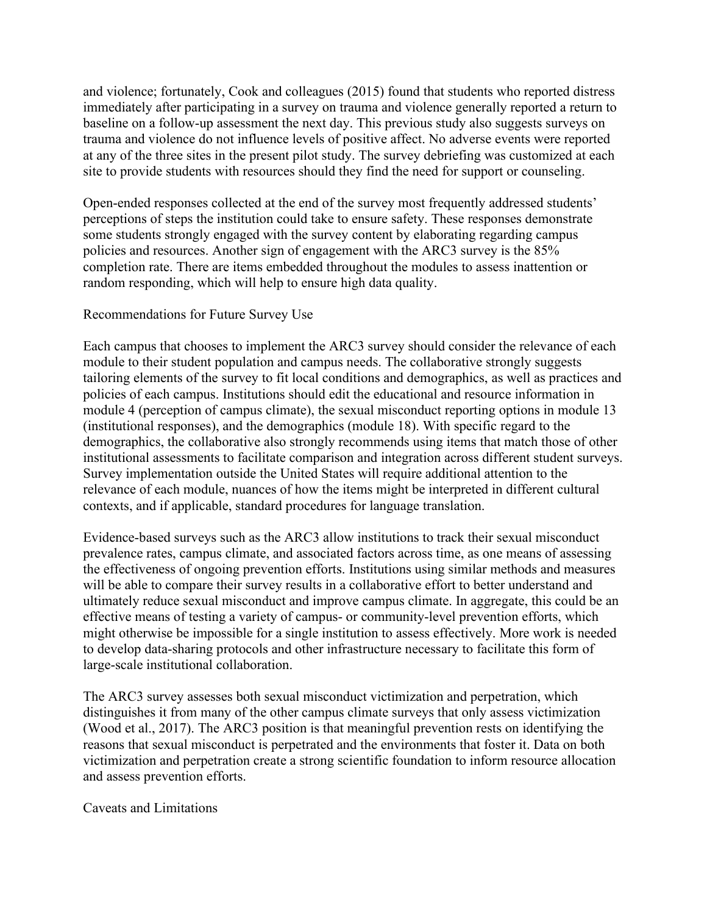and violence; fortunately, Cook and colleagues (2015) found that students who reported distress immediately after participating in a survey on trauma and violence generally reported a return to baseline on a follow-up assessment the next day. This previous study also suggests surveys on trauma and violence do not influence levels of positive affect. No adverse events were reported at any of the three sites in the present pilot study. The survey debriefing was customized at each site to provide students with resources should they find the need for support or counseling.

Open-ended responses collected at the end of the survey most frequently addressed students' perceptions of steps the institution could take to ensure safety. These responses demonstrate some students strongly engaged with the survey content by elaborating regarding campus policies and resources. Another sign of engagement with the ARC3 survey is the 85% completion rate. There are items embedded throughout the modules to assess inattention or random responding, which will help to ensure high data quality.

### Recommendations for Future Survey Use

Each campus that chooses to implement the ARC3 survey should consider the relevance of each module to their student population and campus needs. The collaborative strongly suggests tailoring elements of the survey to fit local conditions and demographics, as well as practices and policies of each campus. Institutions should edit the educational and resource information in module 4 (perception of campus climate), the sexual misconduct reporting options in module 13 (institutional responses), and the demographics (module 18). With specific regard to the demographics, the collaborative also strongly recommends using items that match those of other institutional assessments to facilitate comparison and integration across different student surveys. Survey implementation outside the United States will require additional attention to the relevance of each module, nuances of how the items might be interpreted in different cultural contexts, and if applicable, standard procedures for language translation.

Evidence-based surveys such as the ARC3 allow institutions to track their sexual misconduct prevalence rates, campus climate, and associated factors across time, as one means of assessing the effectiveness of ongoing prevention efforts. Institutions using similar methods and measures will be able to compare their survey results in a collaborative effort to better understand and ultimately reduce sexual misconduct and improve campus climate. In aggregate, this could be an effective means of testing a variety of campus- or community-level prevention efforts, which might otherwise be impossible for a single institution to assess effectively. More work is needed to develop data-sharing protocols and other infrastructure necessary to facilitate this form of large-scale institutional collaboration.

The ARC3 survey assesses both sexual misconduct victimization and perpetration, which distinguishes it from many of the other campus climate surveys that only assess victimization (Wood et al., 2017). The ARC3 position is that meaningful prevention rests on identifying the reasons that sexual misconduct is perpetrated and the environments that foster it. Data on both victimization and perpetration create a strong scientific foundation to inform resource allocation and assess prevention efforts.

Caveats and Limitations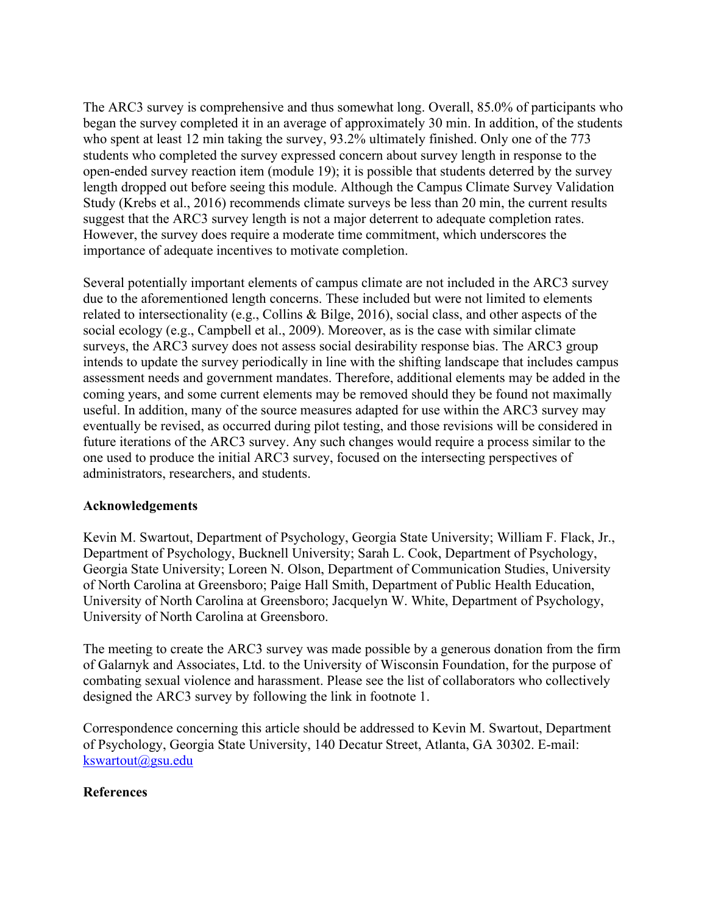The ARC3 survey is comprehensive and thus somewhat long. Overall, 85.0% of participants who began the survey completed it in an average of approximately 30 min. In addition, of the students who spent at least 12 min taking the survey, 93.2% ultimately finished. Only one of the 773 students who completed the survey expressed concern about survey length in response to the open-ended survey reaction item (module 19); it is possible that students deterred by the survey length dropped out before seeing this module. Although the Campus Climate Survey Validation Study (Krebs et al., 2016) recommends climate surveys be less than 20 min, the current results suggest that the ARC3 survey length is not a major deterrent to adequate completion rates. However, the survey does require a moderate time commitment, which underscores the importance of adequate incentives to motivate completion.

Several potentially important elements of campus climate are not included in the ARC3 survey due to the aforementioned length concerns. These included but were not limited to elements related to intersectionality (e.g., Collins & Bilge, 2016), social class, and other aspects of the social ecology (e.g., Campbell et al., 2009). Moreover, as is the case with similar climate surveys, the ARC3 survey does not assess social desirability response bias. The ARC3 group intends to update the survey periodically in line with the shifting landscape that includes campus assessment needs and government mandates. Therefore, additional elements may be added in the coming years, and some current elements may be removed should they be found not maximally useful. In addition, many of the source measures adapted for use within the ARC3 survey may eventually be revised, as occurred during pilot testing, and those revisions will be considered in future iterations of the ARC3 survey. Any such changes would require a process similar to the one used to produce the initial ARC3 survey, focused on the intersecting perspectives of administrators, researchers, and students.

# **Acknowledgements**

Kevin M. Swartout, Department of Psychology, Georgia State University; William F. Flack, Jr., Department of Psychology, Bucknell University; Sarah L. Cook, Department of Psychology, Georgia State University; Loreen N. Olson, Department of Communication Studies, University of North Carolina at Greensboro; Paige Hall Smith, Department of Public Health Education, University of North Carolina at Greensboro; Jacquelyn W. White, Department of Psychology, University of North Carolina at Greensboro.

The meeting to create the ARC3 survey was made possible by a generous donation from the firm of Galarnyk and Associates, Ltd. to the University of Wisconsin Foundation, for the purpose of combating sexual violence and harassment. Please see the list of collaborators who collectively designed the ARC3 survey by following the link in footnote 1.

Correspondence concerning this article should be addressed to Kevin M. Swartout, Department of Psychology, Georgia State University, 140 Decatur Street, Atlanta, GA 30302. E-mail: [kswartout@gsu.edu](mailto:kswartout@gsu.edu)

# **References**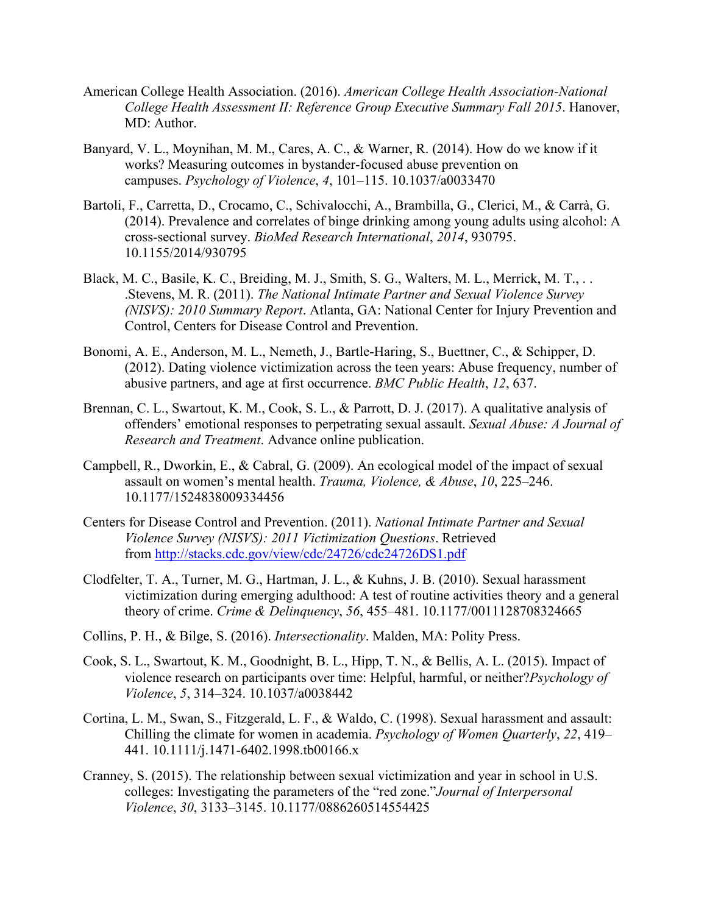- American College Health Association. (2016). *American College Health Association-National College Health Assessment II: Reference Group Executive Summary Fall 2015*. Hanover, MD: Author.
- Banyard, V. L., Moynihan, M. M., Cares, A. C., & Warner, R. (2014). How do we know if it works? Measuring outcomes in bystander-focused abuse prevention on campuses. *Psychology of Violence*, *4*, 101–115. 10.1037/a0033470
- Bartoli, F., Carretta, D., Crocamo, C., Schivalocchi, A., Brambilla, G., Clerici, M., & Carrà, G. (2014). Prevalence and correlates of binge drinking among young adults using alcohol: A cross-sectional survey. *BioMed Research International*, *2014*, 930795. 10.1155/2014/930795
- Black, M. C., Basile, K. C., Breiding, M. J., Smith, S. G., Walters, M. L., Merrick, M. T., . . .Stevens, M. R. (2011). *The National Intimate Partner and Sexual Violence Survey (NISVS): 2010 Summary Report*. Atlanta, GA: National Center for Injury Prevention and Control, Centers for Disease Control and Prevention.
- Bonomi, A. E., Anderson, M. L., Nemeth, J., Bartle-Haring, S., Buettner, C., & Schipper, D. (2012). Dating violence victimization across the teen years: Abuse frequency, number of abusive partners, and age at first occurrence. *BMC Public Health*, *12*, 637.
- Brennan, C. L., Swartout, K. M., Cook, S. L., & Parrott, D. J. (2017). A qualitative analysis of offenders' emotional responses to perpetrating sexual assault. *Sexual Abuse: A Journal of Research and Treatment*. Advance online publication.
- Campbell, R., Dworkin, E., & Cabral, G. (2009). An ecological model of the impact of sexual assault on women's mental health. *Trauma, Violence, & Abuse*, *10*, 225–246. 10.1177/1524838009334456
- Centers for Disease Control and Prevention. (2011). *National Intimate Partner and Sexual Violence Survey (NISVS): 2011 Victimization Questions*. Retrieved from <http://stacks.cdc.gov/view/cdc/24726/cdc24726DS1.pdf>
- Clodfelter, T. A., Turner, M. G., Hartman, J. L., & Kuhns, J. B. (2010). Sexual harassment victimization during emerging adulthood: A test of routine activities theory and a general theory of crime. *Crime & Delinquency*, *56*, 455–481. 10.1177/0011128708324665
- Collins, P. H., & Bilge, S. (2016). *Intersectionality*. Malden, MA: Polity Press.
- Cook, S. L., Swartout, K. M., Goodnight, B. L., Hipp, T. N., & Bellis, A. L. (2015). Impact of violence research on participants over time: Helpful, harmful, or neither?*Psychology of Violence*, *5*, 314–324. 10.1037/a0038442
- Cortina, L. M., Swan, S., Fitzgerald, L. F., & Waldo, C. (1998). Sexual harassment and assault: Chilling the climate for women in academia. *Psychology of Women Quarterly*, *22*, 419– 441. 10.1111/j.1471-6402.1998.tb00166.x
- Cranney, S. (2015). The relationship between sexual victimization and year in school in U.S. colleges: Investigating the parameters of the "red zone."*Journal of Interpersonal Violence*, *30*, 3133–3145. 10.1177/0886260514554425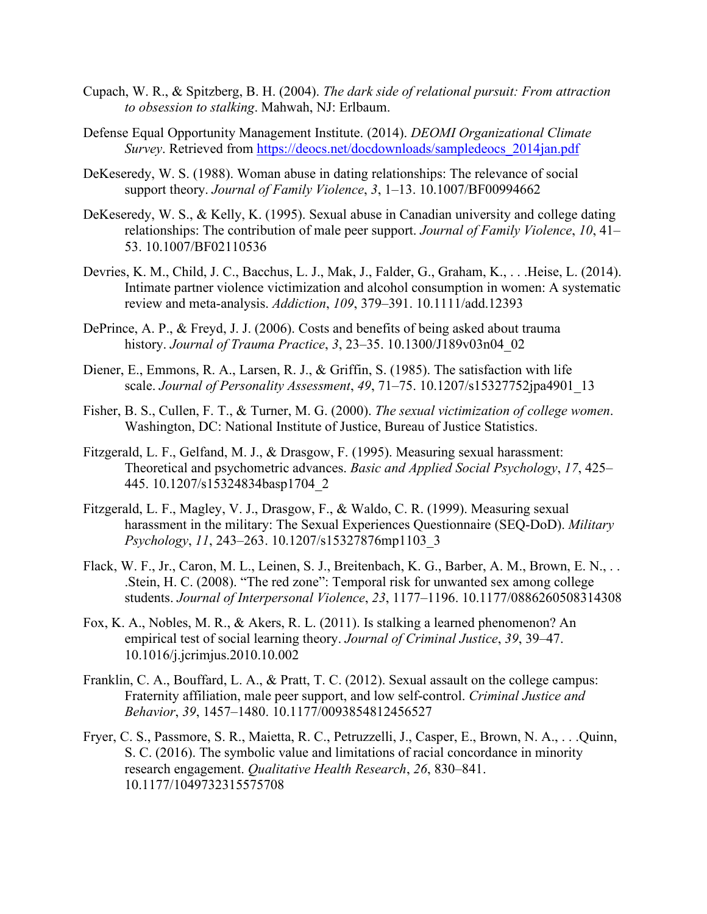- Cupach, W. R., & Spitzberg, B. H. (2004). *The dark side of relational pursuit: From attraction to obsession to stalking*. Mahwah, NJ: Erlbaum.
- Defense Equal Opportunity Management Institute. (2014). *DEOMI Organizational Climate Survey*. Retrieved from [https://deocs.net/docdownloads/sampledeocs\\_2014jan.pdf](https://deocs.net/docdownloads/sampledeocs_2014jan.pdf)
- DeKeseredy, W. S. (1988). Woman abuse in dating relationships: The relevance of social support theory. *Journal of Family Violence*, *3*, 1–13. 10.1007/BF00994662
- DeKeseredy, W. S., & Kelly, K. (1995). Sexual abuse in Canadian university and college dating relationships: The contribution of male peer support. *Journal of Family Violence*, *10*, 41– 53. 10.1007/BF02110536
- Devries, K. M., Child, J. C., Bacchus, L. J., Mak, J., Falder, G., Graham, K., . . .Heise, L. (2014). Intimate partner violence victimization and alcohol consumption in women: A systematic review and meta-analysis. *Addiction*, *109*, 379–391. 10.1111/add.12393
- DePrince, A. P., & Freyd, J. J. (2006). Costs and benefits of being asked about trauma history. *Journal of Trauma Practice*, *3*, 23–35. 10.1300/J189v03n04\_02
- Diener, E., Emmons, R. A., Larsen, R. J., & Griffin, S. (1985). The satisfaction with life scale. *Journal of Personality Assessment*, *49*, 71–75. 10.1207/s15327752jpa4901\_13
- Fisher, B. S., Cullen, F. T., & Turner, M. G. (2000). *The sexual victimization of college women*. Washington, DC: National Institute of Justice, Bureau of Justice Statistics.
- Fitzgerald, L. F., Gelfand, M. J., & Drasgow, F. (1995). Measuring sexual harassment: Theoretical and psychometric advances. *Basic and Applied Social Psychology*, *17*, 425– 445. 10.1207/s15324834basp1704\_2
- Fitzgerald, L. F., Magley, V. J., Drasgow, F., & Waldo, C. R. (1999). Measuring sexual harassment in the military: The Sexual Experiences Questionnaire (SEQ-DoD). *Military Psychology*, *11*, 243–263. 10.1207/s15327876mp1103\_3
- Flack, W. F., Jr., Caron, M. L., Leinen, S. J., Breitenbach, K. G., Barber, A. M., Brown, E. N., . . .Stein, H. C. (2008). "The red zone": Temporal risk for unwanted sex among college students. *Journal of Interpersonal Violence*, *23*, 1177–1196. 10.1177/0886260508314308
- Fox, K. A., Nobles, M. R., & Akers, R. L. (2011). Is stalking a learned phenomenon? An empirical test of social learning theory. *Journal of Criminal Justice*, *39*, 39–47. 10.1016/j.jcrimjus.2010.10.002
- Franklin, C. A., Bouffard, L. A., & Pratt, T. C. (2012). Sexual assault on the college campus: Fraternity affiliation, male peer support, and low self-control. *Criminal Justice and Behavior*, *39*, 1457–1480. 10.1177/0093854812456527
- Fryer, C. S., Passmore, S. R., Maietta, R. C., Petruzzelli, J., Casper, E., Brown, N. A., . . .Quinn, S. C. (2016). The symbolic value and limitations of racial concordance in minority research engagement. *Qualitative Health Research*, *26*, 830–841. 10.1177/1049732315575708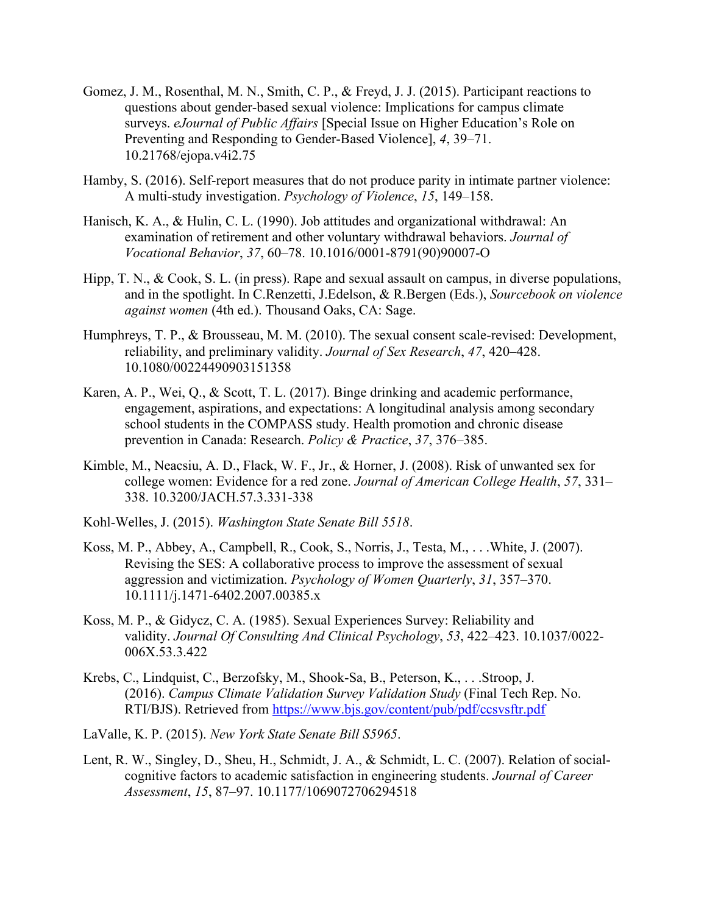- Gomez, J. M., Rosenthal, M. N., Smith, C. P., & Freyd, J. J. (2015). Participant reactions to questions about gender-based sexual violence: Implications for campus climate surveys. *eJournal of Public Affairs* [Special Issue on Higher Education's Role on Preventing and Responding to Gender-Based Violence], *4*, 39–71. 10.21768/ejopa.v4i2.75
- Hamby, S. (2016). Self-report measures that do not produce parity in intimate partner violence: A multi-study investigation. *Psychology of Violence*, *15*, 149–158.
- Hanisch, K. A., & Hulin, C. L. (1990). Job attitudes and organizational withdrawal: An examination of retirement and other voluntary withdrawal behaviors. *Journal of Vocational Behavior*, *37*, 60–78. 10.1016/0001-8791(90)90007-O
- Hipp, T. N., & Cook, S. L. (in press). Rape and sexual assault on campus, in diverse populations, and in the spotlight. In C.Renzetti, J.Edelson, & R.Bergen (Eds.), *Sourcebook on violence against women* (4th ed.). Thousand Oaks, CA: Sage.
- Humphreys, T. P., & Brousseau, M. M. (2010). The sexual consent scale-revised: Development, reliability, and preliminary validity. *Journal of Sex Research*, *47*, 420–428. 10.1080/00224490903151358
- Karen, A. P., Wei, Q., & Scott, T. L. (2017). Binge drinking and academic performance, engagement, aspirations, and expectations: A longitudinal analysis among secondary school students in the COMPASS study. Health promotion and chronic disease prevention in Canada: Research. *Policy & Practice*, *37*, 376–385.
- Kimble, M., Neacsiu, A. D., Flack, W. F., Jr., & Horner, J. (2008). Risk of unwanted sex for college women: Evidence for a red zone. *Journal of American College Health*, *57*, 331– 338. 10.3200/JACH.57.3.331-338
- Kohl-Welles, J. (2015). *Washington State Senate Bill 5518*.
- Koss, M. P., Abbey, A., Campbell, R., Cook, S., Norris, J., Testa, M., . . .White, J. (2007). Revising the SES: A collaborative process to improve the assessment of sexual aggression and victimization. *Psychology of Women Quarterly*, *31*, 357–370. 10.1111/j.1471-6402.2007.00385.x
- Koss, M. P., & Gidycz, C. A. (1985). Sexual Experiences Survey: Reliability and validity. *Journal Of Consulting And Clinical Psychology*, *53*, 422–423. 10.1037/0022- 006X.53.3.422
- Krebs, C., Lindquist, C., Berzofsky, M., Shook-Sa, B., Peterson, K., . . .Stroop, J. (2016). *Campus Climate Validation Survey Validation Study* (Final Tech Rep. No. RTI/BJS). Retrieved from <https://www.bjs.gov/content/pub/pdf/ccsvsftr.pdf>
- LaValle, K. P. (2015). *New York State Senate Bill S5965*.
- Lent, R. W., Singley, D., Sheu, H., Schmidt, J. A., & Schmidt, L. C. (2007). Relation of socialcognitive factors to academic satisfaction in engineering students. *Journal of Career Assessment*, *15*, 87–97. 10.1177/1069072706294518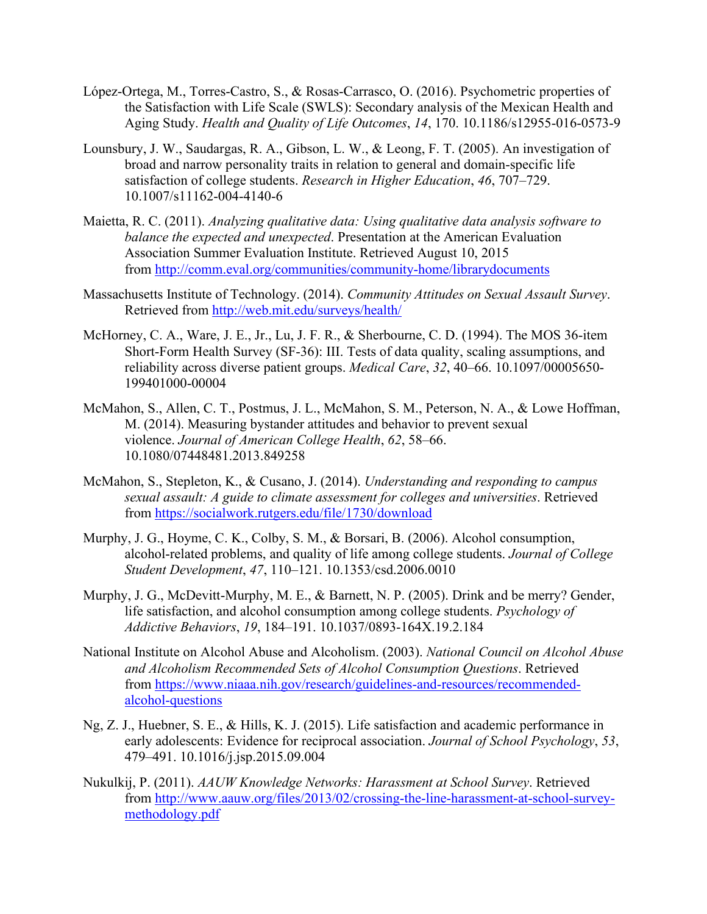- López-Ortega, M., Torres-Castro, S., & Rosas-Carrasco, O. (2016). Psychometric properties of the Satisfaction with Life Scale (SWLS): Secondary analysis of the Mexican Health and Aging Study. *Health and Quality of Life Outcomes*, *14*, 170. 10.1186/s12955-016-0573-9
- Lounsbury, J. W., Saudargas, R. A., Gibson, L. W., & Leong, F. T. (2005). An investigation of broad and narrow personality traits in relation to general and domain-specific life satisfaction of college students. *Research in Higher Education*, *46*, 707–729. 10.1007/s11162-004-4140-6
- Maietta, R. C. (2011). *Analyzing qualitative data: Using qualitative data analysis software to balance the expected and unexpected*. Presentation at the American Evaluation Association Summer Evaluation Institute. Retrieved August 10, 2015 from <http://comm.eval.org/communities/community-home/librarydocuments>
- Massachusetts Institute of Technology. (2014). *Community Attitudes on Sexual Assault Survey*. Retrieved from <http://web.mit.edu/surveys/health/>
- McHorney, C. A., Ware, J. E., Jr., Lu, J. F. R., & Sherbourne, C. D. (1994). The MOS 36-item Short-Form Health Survey (SF-36): III. Tests of data quality, scaling assumptions, and reliability across diverse patient groups. *Medical Care*, *32*, 40–66. 10.1097/00005650- 199401000-00004
- McMahon, S., Allen, C. T., Postmus, J. L., McMahon, S. M., Peterson, N. A., & Lowe Hoffman, M. (2014). Measuring bystander attitudes and behavior to prevent sexual violence. *Journal of American College Health*, *62*, 58–66. 10.1080/07448481.2013.849258
- McMahon, S., Stepleton, K., & Cusano, J. (2014). *Understanding and responding to campus sexual assault: A guide to climate assessment for colleges and universities*. Retrieved from <https://socialwork.rutgers.edu/file/1730/download>
- Murphy, J. G., Hoyme, C. K., Colby, S. M., & Borsari, B. (2006). Alcohol consumption, alcohol-related problems, and quality of life among college students. *Journal of College Student Development*, *47*, 110–121. 10.1353/csd.2006.0010
- Murphy, J. G., McDevitt-Murphy, M. E., & Barnett, N. P. (2005). Drink and be merry? Gender, life satisfaction, and alcohol consumption among college students. *Psychology of Addictive Behaviors*, *19*, 184–191. 10.1037/0893-164X.19.2.184
- National Institute on Alcohol Abuse and Alcoholism. (2003). *National Council on Alcohol Abuse and Alcoholism Recommended Sets of Alcohol Consumption Questions*. Retrieved from [https://www.niaaa.nih.gov/research/guidelines-and-resources/recommended](https://www.niaaa.nih.gov/research/guidelines-and-resources/recommended-alcohol-questions)[alcohol-questions](https://www.niaaa.nih.gov/research/guidelines-and-resources/recommended-alcohol-questions)
- Ng, Z. J., Huebner, S. E., & Hills, K. J. (2015). Life satisfaction and academic performance in early adolescents: Evidence for reciprocal association. *Journal of School Psychology*, *53*, 479–491. 10.1016/j.jsp.2015.09.004
- Nukulkij, P. (2011). *AAUW Knowledge Networks: Harassment at School Survey*. Retrieved from [http://www.aauw.org/files/2013/02/crossing-the-line-harassment-at-school-survey](http://www.aauw.org/files/2013/02/crossing-the-line-harassment-at-school-survey-methodology.pdf)[methodology.pdf](http://www.aauw.org/files/2013/02/crossing-the-line-harassment-at-school-survey-methodology.pdf)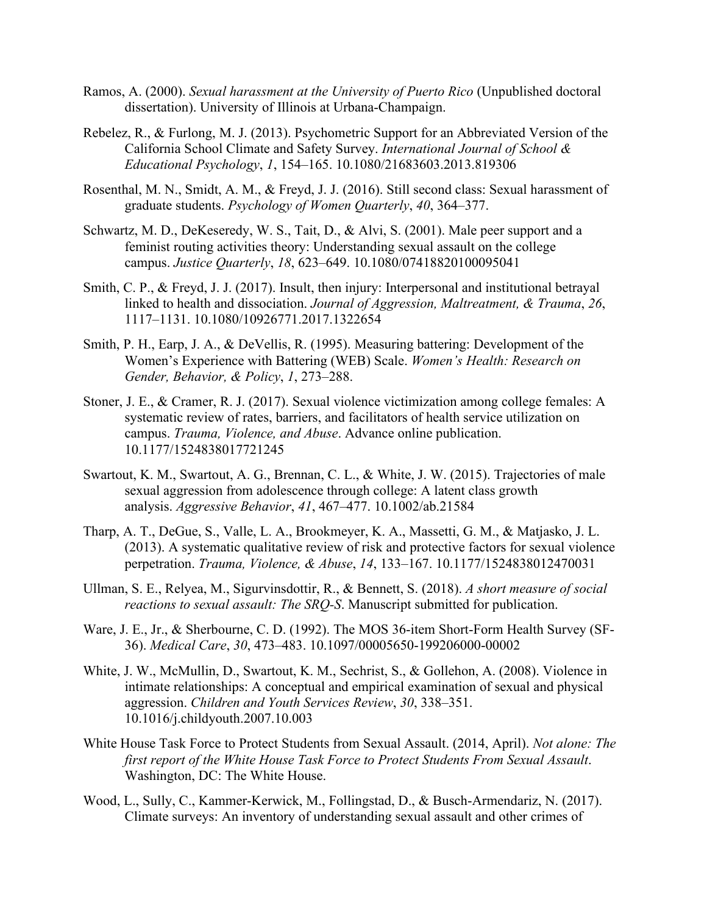- Ramos, A. (2000). *Sexual harassment at the University of Puerto Rico* (Unpublished doctoral dissertation). University of Illinois at Urbana-Champaign.
- Rebelez, R., & Furlong, M. J. (2013). Psychometric Support for an Abbreviated Version of the California School Climate and Safety Survey. *International Journal of School & Educational Psychology*, *1*, 154–165. 10.1080/21683603.2013.819306
- Rosenthal, M. N., Smidt, A. M., & Freyd, J. J. (2016). Still second class: Sexual harassment of graduate students. *Psychology of Women Quarterly*, *40*, 364–377.
- Schwartz, M. D., DeKeseredy, W. S., Tait, D., & Alvi, S. (2001). Male peer support and a feminist routing activities theory: Understanding sexual assault on the college campus. *Justice Quarterly*, *18*, 623–649. 10.1080/07418820100095041
- Smith, C. P., & Freyd, J. J. (2017). Insult, then injury: Interpersonal and institutional betrayal linked to health and dissociation. *Journal of Aggression, Maltreatment, & Trauma*, *26*, 1117–1131. 10.1080/10926771.2017.1322654
- Smith, P. H., Earp, J. A., & DeVellis, R. (1995). Measuring battering: Development of the Women's Experience with Battering (WEB) Scale. *Women's Health: Research on Gender, Behavior, & Policy*, *1*, 273–288.
- Stoner, J. E., & Cramer, R. J. (2017). Sexual violence victimization among college females: A systematic review of rates, barriers, and facilitators of health service utilization on campus. *Trauma, Violence, and Abuse*. Advance online publication. 10.1177/1524838017721245
- Swartout, K. M., Swartout, A. G., Brennan, C. L., & White, J. W. (2015). Trajectories of male sexual aggression from adolescence through college: A latent class growth analysis. *Aggressive Behavior*, *41*, 467–477. 10.1002/ab.21584
- Tharp, A. T., DeGue, S., Valle, L. A., Brookmeyer, K. A., Massetti, G. M., & Matjasko, J. L. (2013). A systematic qualitative review of risk and protective factors for sexual violence perpetration. *Trauma, Violence, & Abuse*, *14*, 133–167. 10.1177/1524838012470031
- Ullman, S. E., Relyea, M., Sigurvinsdottir, R., & Bennett, S. (2018). *A short measure of social reactions to sexual assault: The SRQ-S*. Manuscript submitted for publication.
- Ware, J. E., Jr., & Sherbourne, C. D. (1992). The MOS 36-item Short-Form Health Survey (SF-36). *Medical Care*, *30*, 473–483. 10.1097/00005650-199206000-00002
- White, J. W., McMullin, D., Swartout, K. M., Sechrist, S., & Gollehon, A. (2008). Violence in intimate relationships: A conceptual and empirical examination of sexual and physical aggression. *Children and Youth Services Review*, *30*, 338–351. 10.1016/j.childyouth.2007.10.003
- White House Task Force to Protect Students from Sexual Assault. (2014, April). *Not alone: The first report of the White House Task Force to Protect Students From Sexual Assault*. Washington, DC: The White House.
- Wood, L., Sully, C., Kammer-Kerwick, M., Follingstad, D., & Busch-Armendariz, N. (2017). Climate surveys: An inventory of understanding sexual assault and other crimes of